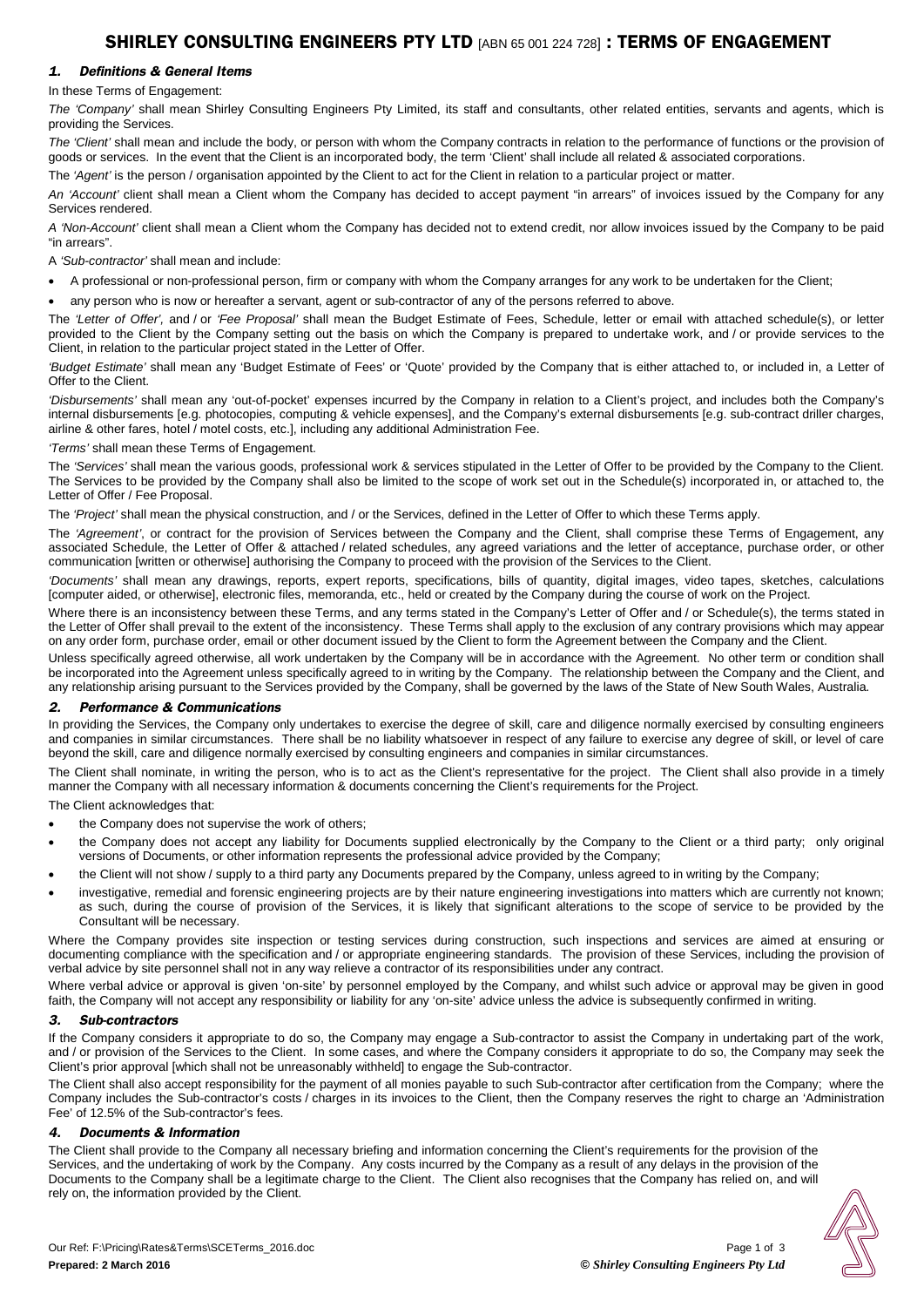# 1. Definitions & General Items

In these Terms of Engagement:

*The 'Company'* shall mean Shirley Consulting Engineers Pty Limited, its staff and consultants, other related entities, servants and agents, which is providing the Services.

*The 'Client'* shall mean and include the body, or person with whom the Company contracts in relation to the performance of functions or the provision of goods or services. In the event that the Client is an incorporated body, the term 'Client' shall include all related & associated corporations.

The *'Agent'* is the person / organisation appointed by the Client to act for the Client in relation to a particular project or matter.

*An 'Account'* client shall mean a Client whom the Company has decided to accept payment "in arrears" of invoices issued by the Company for any Services rendered.

*A 'Non-Account'* client shall mean a Client whom the Company has decided not to extend credit, nor allow invoices issued by the Company to be paid "in arrears".

A *'Sub-contractor'* shall mean and include:

• A professional or non-professional person, firm or company with whom the Company arranges for any work to be undertaken for the Client;

• any person who is now or hereafter a servant, agent or sub-contractor of any of the persons referred to above.

The *'Letter of Offer',* and / or *'Fee Proposal'* shall mean the Budget Estimate of Fees, Schedule, letter or email with attached schedule(s), or letter provided to the Client by the Company setting out the basis on which the Company is prepared to undertake work, and / or provide services to the Client, in relation to the particular project stated in the Letter of Offer.

*'Budget Estimate'* shall mean any 'Budget Estimate of Fees' or 'Quote' provided by the Company that is either attached to, or included in, a Letter of Offer to the Client.

*'Disbursements'* shall mean any 'out-of-pocket' expenses incurred by the Company in relation to a Client's project, and includes both the Company's internal disbursements [e.g. photocopies, computing & vehicle expenses], and the Company's external disbursements [e.g. sub-contract driller charges, airline & other fares, hotel / motel costs, etc.], including any additional Administration Fee.

*'Terms'* shall mean these Terms of Engagement.

The *'Services'* shall mean the various goods, professional work & services stipulated in the Letter of Offer to be provided by the Company to the Client. The Services to be provided by the Company shall also be limited to the scope of work set out in the Schedule(s) incorporated in, or attached to, the Letter of Offer / Fee Proposal.

The *'Project'* shall mean the physical construction, and / or the Services, defined in the Letter of Offer to which these Terms apply.

The *'Agreement'*, or contract for the provision of Services between the Company and the Client, shall comprise these Terms of Engagement, any associated Schedule, the Letter of Offer & attached / related schedules, any agreed variations and the letter of acceptance, purchase order, or other communication [written or otherwise] authorising the Company to proceed with the provision of the Services to the Client.

*'Documents'* shall mean any drawings, reports, expert reports, specifications, bills of quantity, digital images, video tapes, sketches, calculations [computer aided, or otherwise], electronic files, memoranda, etc., held or created by the Company during the course of work on the Project.

Where there is an inconsistency between these Terms, and any terms stated in the Company's Letter of Offer and / or Schedule(s), the terms stated in the Letter of Offer shall prevail to the extent of the inconsistency. These Terms shall apply to the exclusion of any contrary provisions which may appear on any order form, purchase order, email or other document issued by the Client to form the Agreement between the Company and the Client.

Unless specifically agreed otherwise, all work undertaken by the Company will be in accordance with the Agreement. No other term or condition shall be incorporated into the Agreement unless specifically agreed to in writing by the Company. The relationship between the Company and the Client, and any relationship arising pursuant to the Services provided by the Company, shall be governed by the laws of the State of New South Wales, Australia.

# 2. Performance & Communications

In providing the Services, the Company only undertakes to exercise the degree of skill, care and diligence normally exercised by consulting engineers and companies in similar circumstances. There shall be no liability whatsoever in respect of any failure to exercise any degree of skill, or level of care beyond the skill, care and diligence normally exercised by consulting engineers and companies in similar circumstances.

The Client shall nominate, in writing the person, who is to act as the Client's representative for the project. The Client shall also provide in a timely manner the Company with all necessary information & documents concerning the Client's requirements for the Project.

The Client acknowledges that:

- the Company does not supervise the work of others;
- the Company does not accept any liability for Documents supplied electronically by the Company to the Client or a third party; only original versions of Documents, or other information represents the professional advice provided by the Company;
- the Client will not show / supply to a third party any Documents prepared by the Company, unless agreed to in writing by the Company;
- investigative, remedial and forensic engineering projects are by their nature engineering investigations into matters which are currently not known; as such, during the course of provision of the Services, it is likely that significant alterations to the scope of service to be provided by the Consultant will be necessary.

Where the Company provides site inspection or testing services during construction, such inspections and services are aimed at ensuring or documenting compliance with the specification and / or appropriate engineering standards. The provision of these Services, including the provision of verbal advice by site personnel shall not in any way relieve a contractor of its responsibilities under any contract.

Where verbal advice or approval is given 'on-site' by personnel employed by the Company, and whilst such advice or approval may be given in good faith, the Company will not accept any responsibility or liability for any 'on-site' advice unless the advice is subsequently confirmed in writing.

# 3. Sub-contractors

If the Company considers it appropriate to do so, the Company may engage a Sub-contractor to assist the Company in undertaking part of the work, and / or provision of the Services to the Client. In some cases, and where the Company considers it appropriate to do so, the Company may seek the Client's prior approval [which shall not be unreasonably withheld] to engage the Sub-contractor.

The Client shall also accept responsibility for the payment of all monies payable to such Sub-contractor after certification from the Company; where the Company includes the Sub-contractor's costs / charges in its invoices to the Client, then the Company reserves the right to charge an 'Administration Fee' of 12.5% of the Sub-contractor's fees.

# 4. Documents & Information

The Client shall provide to the Company all necessary briefing and information concerning the Client's requirements for the provision of the Services, and the undertaking of work by the Company. Any costs incurred by the Company as a result of any delays in the provision of the Documents to the Company shall be a legitimate charge to the Client. The Client also recognises that the Company has relied on, and will rely on, the information provided by the Client.

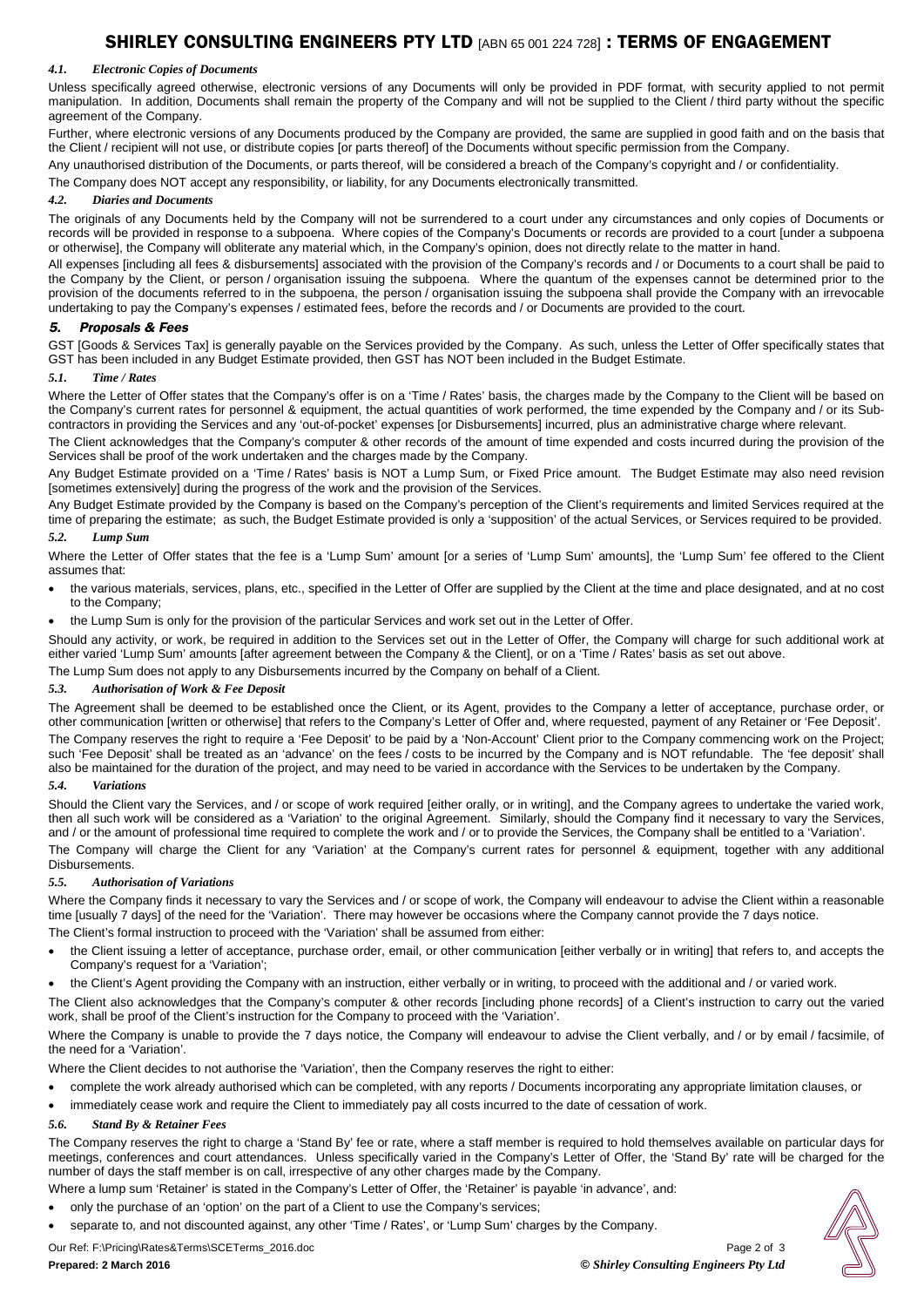# SHIRLEY CONSULTING ENGINEERS PTY LTD [ABN 65 001 224 728] : TERMS OF ENGAGEMENT

### *4.1. Electronic Copies of Documents*

Unless specifically agreed otherwise, electronic versions of any Documents will only be provided in PDF format, with security applied to not permit manipulation. In addition, Documents shall remain the property of the Company and will not be supplied to the Client / third party without the specific agreement of the Company.

Further, where electronic versions of any Documents produced by the Company are provided, the same are supplied in good faith and on the basis that the Client / recipient will not use, or distribute copies [or parts thereof] of the Documents without specific permission from the Company.

Any unauthorised distribution of the Documents, or parts thereof, will be considered a breach of the Company's copyright and / or confidentiality.

The Company does NOT accept any responsibility, or liability, for any Documents electronically transmitted.

# *4.2. Diaries and Documents*

The originals of any Documents held by the Company will not be surrendered to a court under any circumstances and only copies of Documents or records will be provided in response to a subpoena. Where copies of the Company's Documents or records are provided to a court [under a subpoena or otherwise], the Company will obliterate any material which, in the Company's opinion, does not directly relate to the matter in hand.

All expenses [including all fees & disbursements] associated with the provision of the Company's records and / or Documents to a court shall be paid to the Company by the Client, or person / organisation issuing the subpoena. Where the quantum of the expenses cannot be determined prior to the provision of the documents referred to in the subpoena, the person / organisation issuing the subpoena shall provide the Company with an irrevocable undertaking to pay the Company's expenses / estimated fees, before the records and / or Documents are provided to the court.

# 5. Proposals & Fees

GST [Goods & Services Tax] is generally payable on the Services provided by the Company. As such, unless the Letter of Offer specifically states that GST has been included in any Budget Estimate provided, then GST has NOT been included in the Budget Estimate.

#### *5.1. Time / Rates*

Where the Letter of Offer states that the Company's offer is on a 'Time / Rates' basis, the charges made by the Company to the Client will be based on the Company's current rates for personnel & equipment, the actual quantities of work performed, the time expended by the Company and / or its Subcontractors in providing the Services and any 'out-of-pocket' expenses [or Disbursements] incurred, plus an administrative charge where relevant.

The Client acknowledges that the Company's computer & other records of the amount of time expended and costs incurred during the provision of the Services shall be proof of the work undertaken and the charges made by the Company.

Any Budget Estimate provided on a 'Time / Rates' basis is NOT a Lump Sum, or Fixed Price amount. The Budget Estimate may also need revision [sometimes extensively] during the progress of the work and the provision of the Services.

Any Budget Estimate provided by the Company is based on the Company's perception of the Client's requirements and limited Services required at the time of preparing the estimate; as such, the Budget Estimate provided is only a 'supposition' of the actual Services, or Services required to be provided. *5.2. Lump Sum*

Where the Letter of Offer states that the fee is a 'Lump Sum' amount [or a series of 'Lump Sum' amounts], the 'Lump Sum' fee offered to the Client assumes that:

- the various materials, services, plans, etc., specified in the Letter of Offer are supplied by the Client at the time and place designated, and at no cost to the Company;
- the Lump Sum is only for the provision of the particular Services and work set out in the Letter of Offer.

Should any activity, or work, be required in addition to the Services set out in the Letter of Offer, the Company will charge for such additional work at either varied 'Lump Sum' amounts [after agreement between the Company & the Client], or on a 'Time / Rates' basis as set out above.

The Lump Sum does not apply to any Disbursements incurred by the Company on behalf of a Client.

### *5.3. Authorisation of Work & Fee Deposit*

The Agreement shall be deemed to be established once the Client, or its Agent, provides to the Company a letter of acceptance, purchase order, or other communication [written or otherwise] that refers to the Company's Letter of Offer and, where requested, payment of any Retainer or 'Fee Deposit'. The Company reserves the right to require a 'Fee Deposit' to be paid by a 'Non-Account' Client prior to the Company commencing work on the Project; such 'Fee Deposit' shall be treated as an 'advance' on the fees / costs to be incurred by the Company and is NOT refundable. The 'fee deposit' shall also be maintained for the duration of the project, and may need to be varied in accordance with the Services to be undertaken by the Company.

#### *5.4. Variations*

Should the Client vary the Services, and / or scope of work required [either orally, or in writing], and the Company agrees to undertake the varied work, then all such work will be considered as a 'Variation' to the original Agreement. Similarly, should the Company find it necessary to vary the Services, and / or the amount of professional time required to complete the work and / or to provide the Services, the Company shall be entitled to a 'Variation'.

The Company will charge the Client for any 'Variation' at the Company's current rates for personnel & equipment, together with any additional Disbursements.

# *5.5. Authorisation of Variations*

Where the Company finds it necessary to vary the Services and / or scope of work, the Company will endeavour to advise the Client within a reasonable time [usually 7 days] of the need for the 'Variation'. There may however be occasions where the Company cannot provide the 7 days notice. The Client's formal instruction to proceed with the 'Variation' shall be assumed from either:

- the Client issuing a letter of acceptance, purchase order, email, or other communication [either verbally or in writing] that refers to, and accepts the Company's request for a 'Variation';
- the Client's Agent providing the Company with an instruction, either verbally or in writing, to proceed with the additional and / or varied work.

The Client also acknowledges that the Company's computer & other records [including phone records] of a Client's instruction to carry out the varied work, shall be proof of the Client's instruction for the Company to proceed with the 'Variation'.

Where the Company is unable to provide the 7 days notice, the Company will endeavour to advise the Client verbally, and / or by email / facsimile, of the need for a 'Variation'.

Where the Client decides to not authorise the 'Variation', then the Company reserves the right to either:

- complete the work already authorised which can be completed, with any reports / Documents incorporating any appropriate limitation clauses, or
- immediately cease work and require the Client to immediately pay all costs incurred to the date of cessation of work.

# *5.6. Stand By & Retainer Fees*

The Company reserves the right to charge a 'Stand By' fee or rate, where a staff member is required to hold themselves available on particular days for meetings, conferences and court attendances. Unless specifically varied in the Company's Letter of Offer, the 'Stand By' rate will be charged for the number of days the staff member is on call, irrespective of any other charges made by the Company.

Where a lump sum 'Retainer' is stated in the Company's Letter of Offer, the 'Retainer' is payable 'in advance', and:

- only the purchase of an 'option' on the part of a Client to use the Company's services;
- separate to, and not discounted against, any other 'Time / Rates', or 'Lump Sum' charges by the Company.